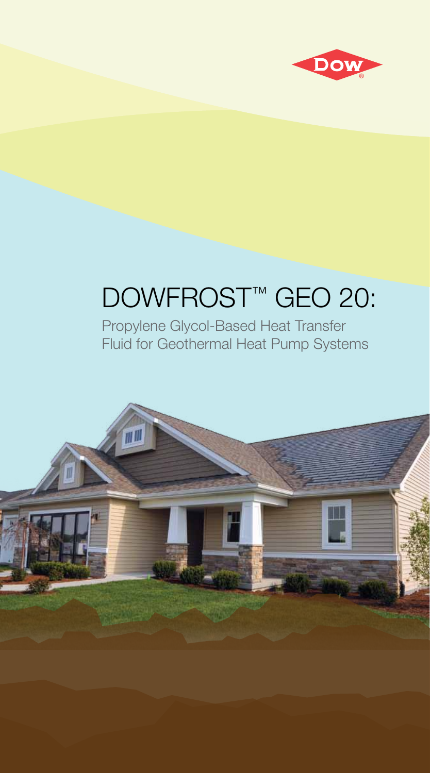

# DOWFROST™ GEO 20:

Propylene Glycol-Based Heat Transfer Fluid for Geothermal Heat Pump Systems

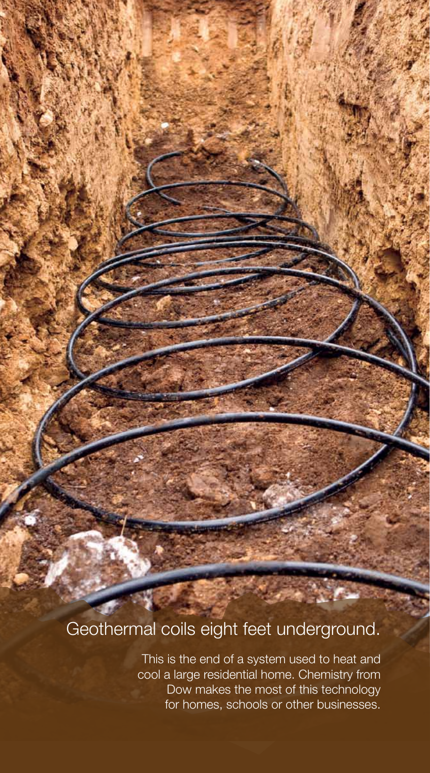## Geothermal coils eight feet underground.

This is the end of a system used to heat and cool a large residential home. Chemistry from Dow makes the most of this technology for homes, schools or other businesses.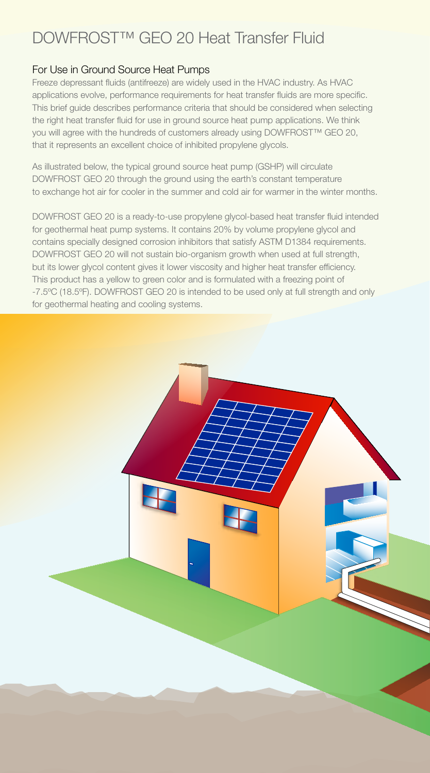### DOWFROST™ GEO 20 Heat Transfer Fluid

#### For Use in Ground Source Heat Pumps

Freeze depressant fluids (antifreeze) are widely used in the HVAC industry. As HVAC applications evolve, performance requirements for heat transfer fluids are more specific. This brief guide describes performance criteria that should be considered when selecting the right heat transfer fluid for use in ground source heat pump applications. We think you will agree with the hundreds of customers already using DOWFROST™ GEO 20, that it represents an excellent choice of inhibited propylene glycols.

As illustrated below, the typical ground source heat pump (GSHP) will circulate DOWFROST GEO 20 through the ground using the earth's constant temperature to exchange hot air for cooler in the summer and cold air for warmer in the winter months.

DOWFROST GEO 20 is a ready-to-use propylene glycol-based heat transfer fluid intended for geothermal heat pump systems. It contains 20% by volume propylene glycol and contains specially designed corrosion inhibitors that satisfy ASTM D1384 requirements. DOWFROST GEO 20 will not sustain bio-organism growth when used at full strength, but its lower glycol content gives it lower viscosity and higher heat transfer efficiency. This product has a yellow to green color and is formulated with a freezing point of -7.5ºC (18.5ºF). DOWFROST GEO 20 is intended to be used only at full strength and only for geothermal heating and cooling systems.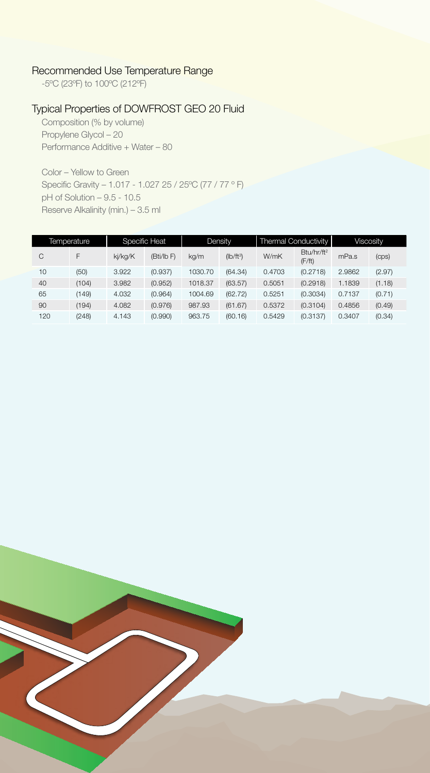#### Recommended Use Temperature Range

-5ºC (23ºF) to 100ºC (212ºF)

#### Typical Properties of DOWFROST GEO 20 Fluid

Composition (% by volume) Propylene Glycol – 20 Performance Additive + Water – 80

Color – Yellow to Green Specific Gravity – 1.017 - 1.027 25 / 25ºC (77 / 77 º F) pH of Solution – 9.5 - 10.5 Reserve Alkalinity (min.) – 3.5 ml

| Temperature |       | <b>Specific Heat</b> |          | Density |             | Thermal Conductivity |                                  | <b>Viscosity</b> |        |
|-------------|-------|----------------------|----------|---------|-------------|----------------------|----------------------------------|------------------|--------|
| C           | F     | ki/kg/K              | (Bti/lb) | kg/m    | $(Ib/ft^3)$ | W/mK                 | Btu/hr/ft <sup>2</sup><br>(F/ft) | mPa.s            | (cps)  |
| 10          | (50)  | 3.922                | (0.937)  | 1030.70 | (64.34)     | 0.4703               | (0.2718)                         | 2.9862           | (2.97) |
| 40          | (104) | 3.982                | (0.952)  | 1018.37 | (63.57)     | 0.5051               | (0.2918)                         | 1.1839           | (1.18) |
| 65          | (149) | 4.032                | (0.964)  | 1004.69 | (62.72)     | 0.5251               | (0.3034)                         | 0.7137           | (0.71) |
| 90          | (194) | 4.082                | (0.976)  | 987.93  | (61.67)     | 0.5372               | (0.3104)                         | 0.4856           | (0.49) |
| 120         | (248) | 4.143                | (0.990)  | 963.75  | (60.16)     | 0.5429               | (0.3137)                         | 0.3407           | (0.34) |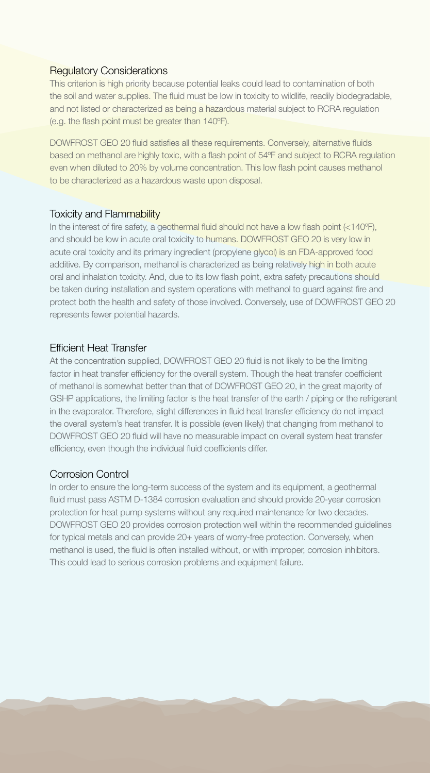#### Regulatory Considerations

This criterion is high priority because potential leaks could lead to contamination of both the soil and water supplies. The fluid must be low in toxicity to wildlife, readily biodegradable, and not listed or characterized as being a hazardous material subject to RCRA regulation (e.g. the flash point must be greater than 140ºF).

DOWFROST GEO 20 fluid satisfies all these requirements. Conversely, alternative fluids based on methanol are highly toxic, with a flash point of 54ºF and subject to RCRA regulation even when diluted to 20% by volume concentration. This low flash point causes methanol to be characterized as a hazardous waste upon disposal.

#### **Toxicity and Flammability**

In the interest of fire safety, a geothermal fluid should not have a low flash point (<140ºF), and should be low in acute oral toxicity to humans. DOWFROST GEO 20 is very low in acute oral toxicity and its primary ingredient (propylene glycol) is an FDA-approved food additive. By comparison, methanol is characterized as being relatively high in both acute oral and inhalation toxicity. And, due to its low flash point, extra safety precautions should be taken during installation and system operations with methanol to guard against fire and protect both the health and safety of those involved. Conversely, use of DOWFROST GEO 20 represents fewer potential hazards.

#### Efficient Heat Transfer

At the concentration supplied, DOWFROST GEO 20 fluid is not likely to be the limiting factor in heat transfer efficiency for the overall system. Though the heat transfer coefficient of methanol is somewhat better than that of DOWFROST GEO 20, in the great majority of GSHP applications, the limiting factor is the heat transfer of the earth / piping or the refrigerant in the evaporator. Therefore, slight differences in fluid heat transfer efficiency do not impact the overall system's heat transfer. It is possible (even likely) that changing from methanol to DOWFROST GEO 20 fluid will have no measurable impact on overall system heat transfer efficiency, even though the individual fluid coefficients differ.

#### Corrosion Control

In order to ensure the long-term success of the system and its equipment, a geothermal fluid must pass ASTM D-1384 corrosion evaluation and should provide 20-year corrosion protection for heat pump systems without any required maintenance for two decades. DOWFROST GEO 20 provides corrosion protection well within the recommended guidelines for typical metals and can provide 20+ years of worry-free protection. Conversely, when methanol is used, the fluid is often installed without, or with improper, corrosion inhibitors. This could lead to serious corrosion problems and equipment failure.